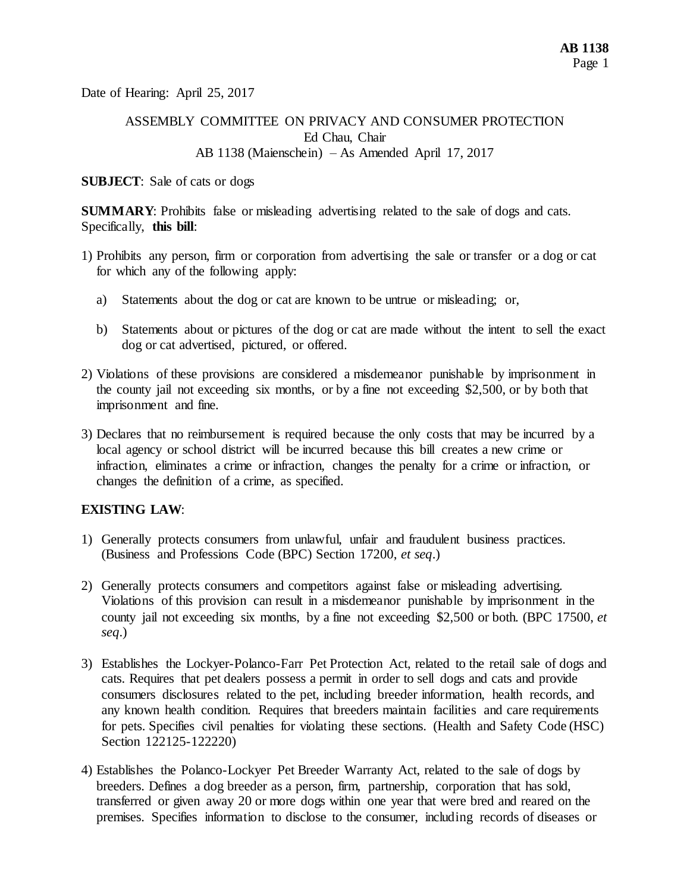Date of Hearing: April 25, 2017

# ASSEMBLY COMMITTEE ON PRIVACY AND CONSUMER PROTECTION Ed Chau, Chair AB 1138 (Maienschein) – As Amended April 17, 2017

#### **SUBJECT**: Sale of cats or dogs

**SUMMARY**: Prohibits false or misleading advertising related to the sale of dogs and cats. Specifically, **this bill**:

- 1) Prohibits any person, firm or corporation from advertising the sale or transfer or a dog or cat for which any of the following apply:
	- a) Statements about the dog or cat are known to be untrue or misleading; or,
	- b) Statements about or pictures of the dog or cat are made without the intent to sell the exact dog or cat advertised, pictured, or offered.
- 2) Violations of these provisions are considered a misdemeanor punishable by imprisonment in the county jail not exceeding six months, or by a fine not exceeding \$2,500, or by both that imprisonment and fine.
- 3) Declares that no reimbursement is required because the only costs that may be incurred by a local agency or school district will be incurred because this bill creates a new crime or infraction, eliminates a crime or infraction, changes the penalty for a crime or infraction, or changes the definition of a crime, as specified.

## **EXISTING LAW**:

- 1) Generally protects consumers from unlawful, unfair and fraudulent business practices. (Business and Professions Code (BPC) Section 17200, *et seq*.)
- 2) Generally protects consumers and competitors against false or misleading advertising. Violations of this provision can result in a misdemeanor punishable by imprisonment in the county jail not exceeding six months, by a fine not exceeding \$2,500 or both. (BPC 17500, *et seq*.)
- 3) Establishes the Lockyer-Polanco-Farr Pet Protection Act, related to the retail sale of dogs and cats. Requires that pet dealers possess a permit in order to sell dogs and cats and provide consumers disclosures related to the pet, including breeder information, health records, and any known health condition. Requires that breeders maintain facilities and care requirements for pets. Specifies civil penalties for violating these sections. (Health and Safety Code (HSC) Section 122125-122220)
- 4) Establishes the Polanco-Lockyer Pet Breeder Warranty Act, related to the sale of dogs by breeders. Defines a dog breeder as a person, firm, partnership, corporation that has sold, transferred or given away 20 or more dogs within one year that were bred and reared on the premises. Specifies information to disclose to the consumer, including records of diseases or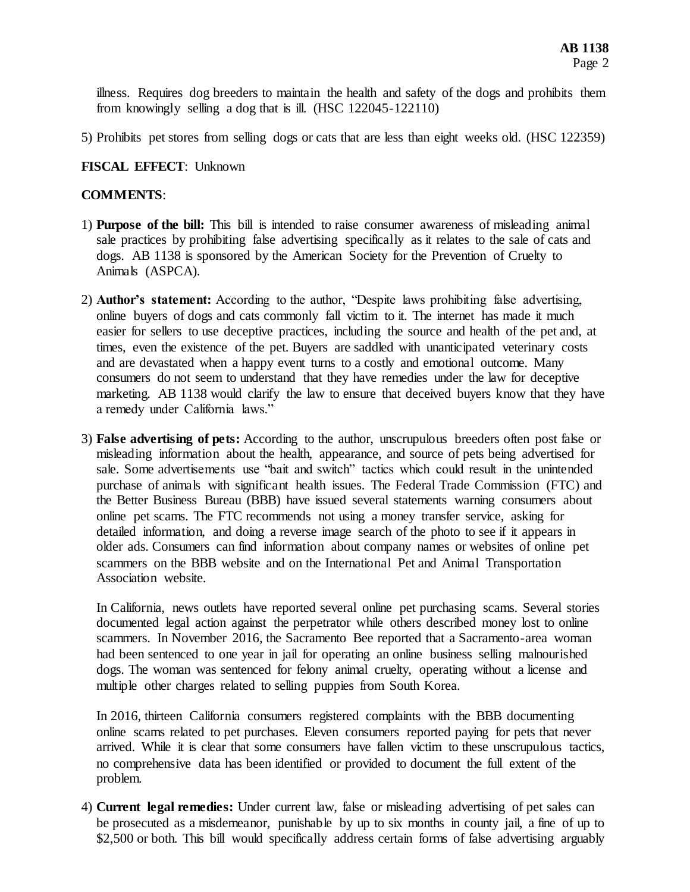illness. Requires dog breeders to maintain the health and safety of the dogs and prohibits them from knowingly selling a dog that is ill. (HSC 122045-122110)

5) Prohibits pet stores from selling dogs or cats that are less than eight weeks old. (HSC 122359)

## **FISCAL EFFECT**: Unknown

## **COMMENTS**:

- 1) **Purpose of the bill:** This bill is intended to raise consumer awareness of misleading animal sale practices by prohibiting false advertising specifically as it relates to the sale of cats and dogs. AB 1138 is sponsored by the American Society for the Prevention of Cruelty to Animals (ASPCA).
- 2) **Author's statement:** According to the author, "Despite laws prohibiting false advertising, online buyers of dogs and cats commonly fall victim to it. The internet has made it much easier for sellers to use deceptive practices, including the source and health of the pet and, at times, even the existence of the pet. Buyers are saddled with unanticipated veterinary costs and are devastated when a happy event turns to a costly and emotional outcome. Many consumers do not seem to understand that they have remedies under the law for deceptive marketing. AB 1138 would clarify the law to ensure that deceived buyers know that they have a remedy under California laws."
- 3) **False advertising of pets:** According to the author, unscrupulous breeders often post false or misleading information about the health, appearance, and source of pets being advertised for sale. Some advertisements use "bait and switch" tactics which could result in the unintended purchase of animals with significant health issues. The Federal Trade Commission (FTC) and the Better Business Bureau (BBB) have issued several statements warning consumers about online pet scams. The FTC recommends not using a money transfer service, asking for detailed information, and doing a reverse image search of the photo to see if it appears in older ads. Consumers can find information about company names or websites of online pet scammers on the BBB website and on the International Pet and Animal Transportation Association website.

In California, news outlets have reported several online pet purchasing scams. Several stories documented legal action against the perpetrator while others described money lost to online scammers. In November 2016, the Sacramento Bee reported that a Sacramento-area woman had been sentenced to one year in jail for operating an online business selling malnourished dogs. The woman was sentenced for felony animal cruelty, operating without a license and multiple other charges related to selling puppies from South Korea.

In 2016, thirteen California consumers registered complaints with the BBB documenting online scams related to pet purchases. Eleven consumers reported paying for pets that never arrived. While it is clear that some consumers have fallen victim to these unscrupulous tactics, no comprehensive data has been identified or provided to document the full extent of the problem.

4) **Current legal remedies:** Under current law, false or misleading advertising of pet sales can be prosecuted as a misdemeanor, punishable by up to six months in county jail, a fine of up to \$2,500 or both. This bill would specifically address certain forms of false advertising arguably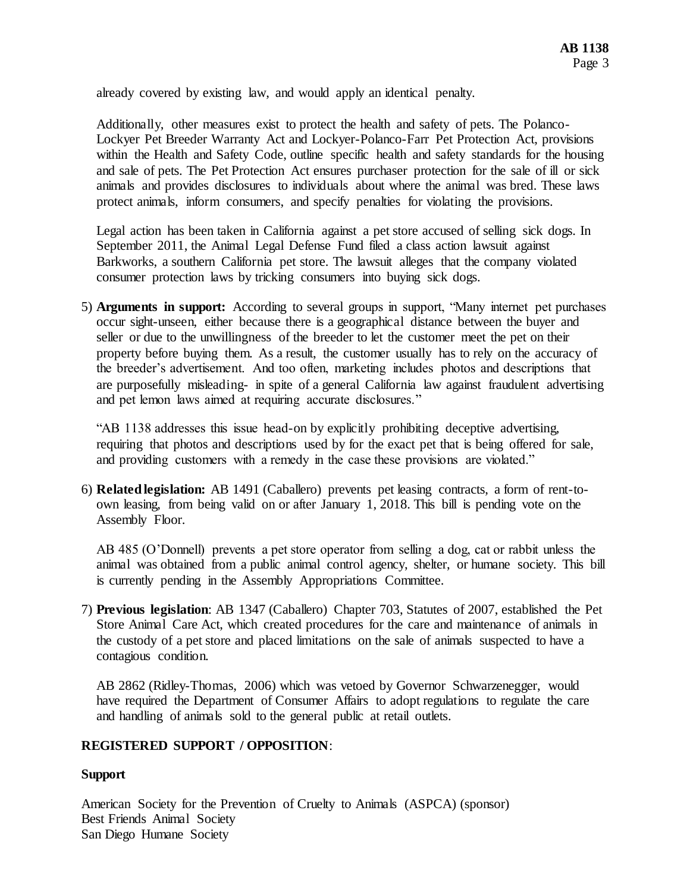already covered by existing law, and would apply an identical penalty.

Additionally, other measures exist to protect the health and safety of pets. The Polanco-Lockyer Pet Breeder Warranty Act and Lockyer-Polanco-Farr Pet Protection Act, provisions within the Health and Safety Code, outline specific health and safety standards for the housing and sale of pets. The Pet Protection Act ensures purchaser protection for the sale of ill or sick animals and provides disclosures to individuals about where the animal was bred. These laws protect animals, inform consumers, and specify penalties for violating the provisions.

Legal action has been taken in California against a pet store accused of selling sick dogs. In September 2011, the Animal Legal Defense Fund filed a class action lawsuit against Barkworks, a southern California pet store. The lawsuit alleges that the company violated consumer protection laws by tricking consumers into buying sick dogs.

5) **Arguments in support:** According to several groups in support, "Many internet pet purchases occur sight-unseen, either because there is a geographical distance between the buyer and seller or due to the unwillingness of the breeder to let the customer meet the pet on their property before buying them. As a result, the customer usually has to rely on the accuracy of the breeder's advertisement. And too often, marketing includes photos and descriptions that are purposefully misleading- in spite of a general California law against fraudulent advertising and pet lemon laws aimed at requiring accurate disclosures."

"AB 1138 addresses this issue head-on by explicitly prohibiting deceptive advertising, requiring that photos and descriptions used by for the exact pet that is being offered for sale, and providing customers with a remedy in the case these provisions are violated."

6) **Related legislation:** AB 1491 (Caballero) prevents pet leasing contracts, a form of rent-toown leasing, from being valid on or after January 1, 2018. This bill is pending vote on the Assembly Floor.

AB 485 (O'Donnell) prevents a pet store operator from selling a dog, cat or rabbit unless the animal was obtained from a public animal control agency, shelter, or humane society. This bill is currently pending in the Assembly Appropriations Committee.

7) **Previous legislation**: AB 1347 (Caballero) Chapter 703, Statutes of 2007, established the Pet Store Animal Care Act, which created procedures for the care and maintenance of animals in the custody of a pet store and placed limitations on the sale of animals suspected to have a contagious condition.

AB 2862 (Ridley-Thomas, 2006) which was vetoed by Governor Schwarzenegger, would have required the Department of Consumer Affairs to adopt regulations to regulate the care and handling of animals sold to the general public at retail outlets.

## **REGISTERED SUPPORT / OPPOSITION**:

## **Support**

American Society for the Prevention of Cruelty to Animals (ASPCA) (sponsor) Best Friends Animal Society San Diego Humane Society